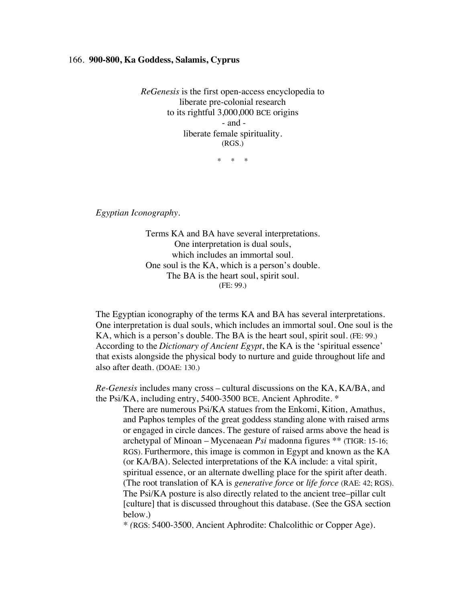## 166. **900-800, Ka Goddess, Salamis, Cyprus**

*ReGenesis* is the first open-access encyclopedia to liberate pre-colonial research to its rightful 3,000,000 BCE origins - and liberate female spirituality. (RGS.)

\* \* \*

*Egyptian Iconography.*

Terms KA and BA have several interpretations. One interpretation is dual souls, which includes an immortal soul. One soul is the KA, which is a person's double. The BA is the heart soul, spirit soul. (FE: 99.)

The Egyptian iconography of the terms KA and BA has several interpretations. One interpretation is dual souls, which includes an immortal soul. One soul is the KA, which is a person's double. The BA is the heart soul, spirit soul. (FE: 99.) According to the *Dictionary of Ancient Egypt*, the KA is the 'spiritual essence' that exists alongside the physical body to nurture and guide throughout life and also after death. (DOAE: 130.)

*Re-Genesis* includes many cross – cultural discussions on the KA, KA/BA, and the Psi/KA, including entry, 5400-3500 BCE, Ancient Aphrodite. \*

There are numerous Psi/KA statues from the Enkomi, Kition, Amathus, and Paphos temples of the great goddess standing alone with raised arms or engaged in circle dances. The gesture of raised arms above the head is archetypal of Minoan – Mycenaean *Psi* madonna figures \*\* (TIGR: 15-16; RGS). Furthermore, this image is common in Egypt and known as the KA (or KA/BA). Selected interpretations of the KA include: a vital spirit, spiritual essence, or an alternate dwelling place for the spirit after death. (The root translation of KA is *generative force* or *life force* (RAE: 42; RGS). The Psi/KA posture is also directly related to the ancient tree–pillar cult [culture] that is discussed throughout this database. (See the GSA section below.)

*\* (*RGS: 5400-3500, Ancient Aphrodite: Chalcolithic or Copper Age).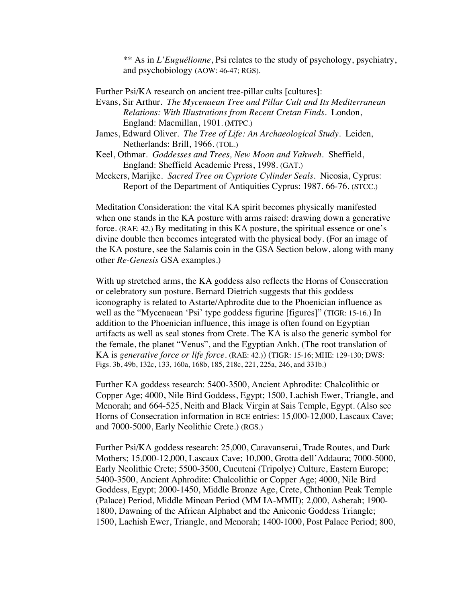\*\* As in *L'Euguélionne*, Psi relates to the study of psychology, psychiatry, and psychobiology (AOW: 46-47; RGS).

Further Psi/KA research on ancient tree-pillar cults [cultures]:

- Evans, Sir Arthur. *The Mycenaean Tree and Pillar Cult and Its Mediterranean Relations: With Illustrations from Recent Cretan Finds*. London, England: Macmillan, 1901. (MTPC.)
- James, Edward Oliver. *The Tree of Life: An Archaeological Study*. Leiden, Netherlands: Brill, 1966. (TOL.)
- Keel, Othmar. *Goddesses and Trees, New Moon and Yahweh*. Sheffield, England: Sheffield Academic Press, 1998. (GAT.)
- Meekers, Marijke.*Sacred Tree on Cypriote Cylinder Seals*. Nicosia, Cyprus: Report of the Department of Antiquities Cyprus: 1987. 66-76. (STCC.)

Meditation Consideration: the vital KA spirit becomes physically manifested when one stands in the KA posture with arms raised: drawing down a generative force. (RAE: 42.) By meditating in this KA posture, the spiritual essence or one's divine double then becomes integrated with the physical body. (For an image of the KA posture, see the Salamis coin in the GSA Section below, along with many other *Re-Genesis* GSA examples.)

With up stretched arms, the KA goddess also reflects the Horns of Consecration or celebratory sun posture. Bernard Dietrich suggests that this goddess iconography is related to Astarte/Aphrodite due to the Phoenician influence as well as the "Mycenaean 'Psi' type goddess figurine [figures]" (TIGR: 15-16.) In addition to the Phoenician influence, this image is often found on Egyptian artifacts as well as seal stones from Crete. The KA is also the generic symbol for the female, the planet "Venus", and the Egyptian Ankh. (The root translation of KA is *generative force or life force*. (RAE: 42.)) (TIGR: 15-16; MHE: 129-130; DWS: Figs. 3b, 49b, 132c, 133, 160a, 168b, 185, 218c, 221, 225a, 246, and 331b.)

Further KA goddess research: 5400-3500, Ancient Aphrodite: Chalcolithic or Copper Age; 4000, Nile Bird Goddess, Egypt; 1500, Lachish Ewer, Triangle, and Menorah; and 664-525, Neith and Black Virgin at Sais Temple, Egypt. (Also see Horns of Consecration information in BCE entries: 15,000-12,000, Lascaux Cave; and 7000-5000, Early Neolithic Crete.) (RGS.)

Further Psi/KA goddess research: 25,000, Caravanserai, Trade Routes, and Dark Mothers; 15,000-12,000, Lascaux Cave; 10,000, Grotta dell'Addaura; 7000-5000, Early Neolithic Crete; 5500-3500, Cucuteni (Tripolye) Culture, Eastern Europe; 5400-3500, Ancient Aphrodite: Chalcolithic or Copper Age; 4000, Nile Bird Goddess, Egypt; 2000-1450, Middle Bronze Age, Crete, Chthonian Peak Temple (Palace) Period, Middle Minoan Period (MM IA-MMII); 2,000, Asherah; 1900- 1800, Dawning of the African Alphabet and the Aniconic Goddess Triangle; 1500, Lachish Ewer, Triangle, and Menorah; 1400-1000, Post Palace Period; 800,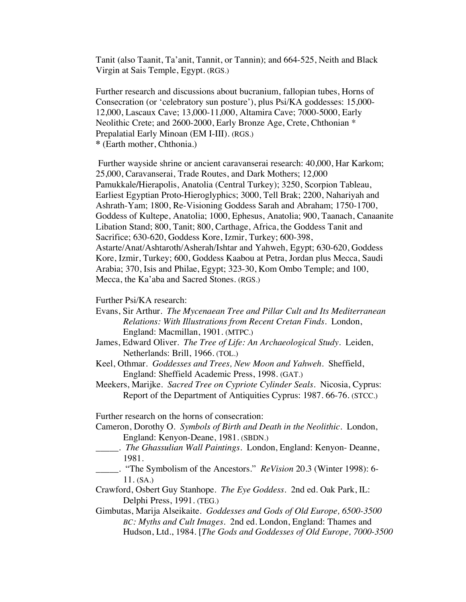Tanit (also Taanit, Ta'anit, Tannit, or Tannin); and 664-525, Neith and Black Virgin at Sais Temple, Egypt. (RGS.)

Further research and discussions about bucranium, fallopian tubes, Horns of Consecration (or 'celebratory sun posture'), plus Psi/KA goddesses: 15,000- 12,000, Lascaux Cave; 13,000-11,000, Altamira Cave; 7000-5000, Early Neolithic Crete; and 2600-2000, Early Bronze Age, Crete, Chthonian \* Prepalatial Early Minoan (EM I-III). (RGS.) **\*** (Earth mother, Chthonia.)

Further wayside shrine or ancient caravanserai research: 40,000, Har Karkom; 25,000, Caravanserai, Trade Routes, and Dark Mothers; 12,000 Pamukkale*/*Hierapolis, Anatolia (Central Turkey); 3250, Scorpion Tableau, Earliest Egyptian Proto-Hieroglyphics; 3000, Tell Brak; 2200, Nahariyah and Ashrath-Yam; 1800, Re-Visioning Goddess Sarah and Abraham; 1750-1700, Goddess of Kultepe, Anatolia; 1000, Ephesus, Anatolia; 900, Taanach, Canaanite Libation Stand; 800, Tanit; 800, Carthage, Africa, the Goddess Tanit and Sacrifice; 630-620, Goddess Kore, Izmir, Turkey; 600-398, Astarte/Anat/Ashtaroth/Asherah/Ishtar and Yahweh, Egypt; 630-620, Goddess Kore, Izmir, Turkey; 600, Goddess Kaabou at Petra, Jordan plus Mecca, Saudi Arabia; 370, Isis and Philae, Egypt; 323-30, Kom Ombo Temple; and 100, Mecca, the Ka'aba and Sacred Stones. (RGS.)

Further Psi/KA research:

- Evans, Sir Arthur. *The Mycenaean Tree and Pillar Cult and Its Mediterranean Relations: With Illustrations from Recent Cretan Finds*. London, England: Macmillan, 1901. (MTPC.)
- James, Edward Oliver. *The Tree of Life: An Archaeological Study*. Leiden, Netherlands: Brill, 1966. (TOL.)
- Keel, Othmar. *Goddesses and Trees, New Moon and Yahweh*. Sheffield, England: Sheffield Academic Press, 1998. (GAT.)
- Meekers, Marijke.*Sacred Tree on Cypriote Cylinder Seals*. Nicosia, Cyprus: Report of the Department of Antiquities Cyprus: 1987. 66-76. (STCC.)

Further research on the horns of consecration:

Cameron, Dorothy O. *Symbols of Birth and Death in the Neolithic*. London, England: Kenyon-Deane, 1981. (SBDN.)

- \_\_\_\_\_. *The Ghassulian Wall Paintings*. London, England: Kenyon- Deanne, 1981.
- \_\_\_\_\_. "The Symbolism of the Ancestors." *ReVision* 20.3 (Winter 1998): 6- 11. (SA.)
- Crawford, Osbert Guy Stanhope. *The Eye Goddess*. 2nd ed. Oak Park, IL: Delphi Press, 1991. (TEG.)
- Gimbutas, Marija Alseikaite. *Goddesses and Gods of Old Europe, 6500-3500 BC: Myths and Cult Images*. 2nd ed. London, England: Thames and Hudson, Ltd., 1984. [*The Gods and Goddesses of Old Europe, 7000-3500*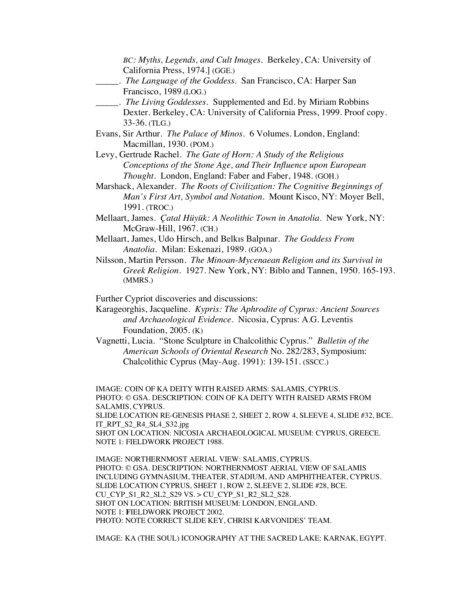*BC: Myths, Legends, and Cult Images.* Berkeley, CA: University of California Press, 1974.] (GGE.) \_\_\_\_\_. *The Language of the Goddess*. San Francisco, CA: Harper San Francisco, 1989.(LOG.) \_\_\_\_\_. *The Living Goddesses*. Supplemented and Ed. by Miriam Robbins Dexter. Berkeley, CA: University of California Press, 1999. Proof copy. 33-36. (TLG.) Evans, Sir Arthur. *The Palace of Minos.* 6 Volumes. London, England: Macmillan, 1930. (POM.) Levy, Gertrude Rachel. *The Gate of Horn: A Study of the Religious Conceptions of the Stone Age, and Their Influence upon European Thought.* London, England: Faber and Faber, 1948. (GOH.) Marshack, Alexander. *The Roots of Civilization: The Cognitive Beginnings of Man's First Art, Symbol and Notation.* Mount Kisco, NY: Moyer Bell, 1991. (TROC.) Mellaart, James. *Çatal Hüyük: A Neolithic Town in Anatolia*. New York, NY: McGraw-Hill, 1967. (CH.) Mellaart, James, Udo Hirsch, and Belkıs Balpınar. *The Goddess From Anatolia*. Milan: Eskenazi, 1989. (GOA.) Nilsson, Martin Persson*. The Minoan-Mycenaean Religion and its Survival in Greek Religion.* 1927. New York, NY: Biblo and Tannen, 1950. 165-193. (MMRS.) Further Cypriot discoveries and discussions: Karageorghis, Jacqueline. *Kypris: The Aphrodite of Cyprus: Ancient Sources and Archaeological Evidence*. Nicosia, Cyprus: A.G. Leventis Foundation, 2005. (K) Vagnetti, Lucia. "Stone Sculpture in Chalcolithic Cyprus." *Bulletin of the American Schools of Oriental Research* No. 282/283, Symposium: Chalcolithic Cyprus (May-Aug. 1991): 139-151. (SSCC.)

IMAGE: COIN OF KA DEITY WITH RAISED ARMS: SALAMIS, CYPRUS. PHOTO: © GSA. DESCRIPTION: COIN OF KA DEITY WITH RAISED ARMS FROM SALAMIS, CYPRUS.

SLIDE LOCATION RE-GENESIS PHASE 2, SHEET 2, ROW 4, SLEEVE 4, SLIDE #32, BCE. IT\_RPT\_S2\_R4\_SL4\_S32.jpg

SHOT ON LOCATION: NICOSIA ARCHAEOLOGICAL MUSEUM: CYPRUS, GREECE. NOTE 1: FIELDWORK PROJECT 1988.

IMAGE: NORTHERNMOST AERIAL VIEW: SALAMIS, CYPRUS. PHOTO: © GSA. DESCRIPTION: NORTHERNMOST AERIAL VIEW OF SALAMIS INCLUDING GYMNASIUM, THEATER, STADIUM, AND AMPHITHEATER, CYPRUS. SLIDE LOCATION CYPRUS, SHEET 1, ROW 2, SLEEVE 2, SLIDE #28, BCE. CU\_CYP\_S1\_R2\_SL2\_S29 VS. > CU\_CYP\_S1\_R2\_SL2\_S28. SHOT ON LOCATION: BRITISH MUSEUM: LONDON, ENGLAND. NOTE 1: **F**IELDWORK PROJECT 2002. PHOTO: NOTE CORRECT SLIDE KEY, CHRISI KARVONIDES' TEAM.

IMAGE: KA (THE SOUL) ICONOGRAPHY AT THE SACRED LAKE: KARNAK, EGYPT.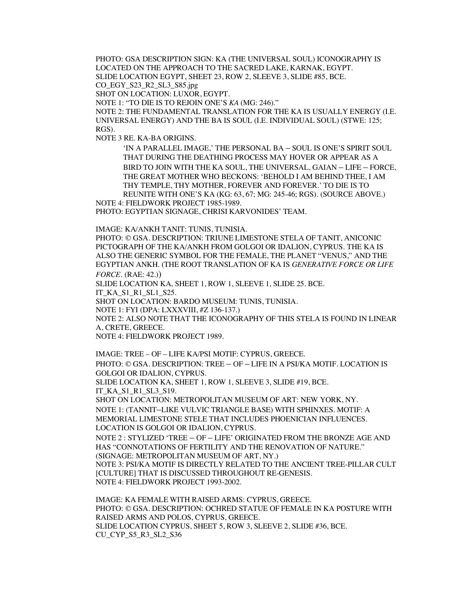PHOTO: GSA DESCRIPTION SIGN: KA (THE UNIVERSAL SOUL) ICONOGRAPHY IS LOCATED ON THE APPROACH TO THE SACRED LAKE, KARNAK, EGYPT. SLIDE LOCATION EGYPT, SHEET 23, ROW 2, SLEEVE 3, SLIDE #85, BCE. CO\_EGY\_S23\_R2\_SL3\_S85.jpg

SHOT ON LOCATION: LUXOR, EGYPT.

NOTE 1: "TO DIE IS TO REJOIN ONE'S *KA* (MG: 246)."

NOTE 2: THE FUNDAMENTAL TRANSLATION FOR THE KA IS USUALLY ENERGY (I.E. UNIVERSAL ENERGY) AND THE BA IS SOUL (I.E. INDIVIDUAL SOUL) (STWE: 125; RGS).

NOTE 3 RE. KA-BA ORIGINS.

'IN A PARALLEL IMAGE,' THE PERSONAL BA – SOUL IS ONE'S SPIRIT SOUL THAT DURING THE DEATHING PROCESS MAY HOVER OR APPEAR AS A BIRD TO JOIN WITH THE KA SOUL, THE UNIVERSAL, GAIAN – LIFE – FORCE, THE GREAT MOTHER WHO BECKONS: 'BEHOLD I AM BEHIND THEE, I AM THY TEMPLE, THY MOTHER, FOREVER AND FOREVER.' TO DIE IS TO REUNITE WITH ONE'S KA (KG: 63, 67; MG: 245-46; RGS). (SOURCE ABOVE.)

NOTE 4: FIELDWORK PROJECT 1985-1989.

PHOTO: EGYPTIAN SIGNAGE, CHRISI KARVONIDES' TEAM.

IMAGE: KA/ANKH TANIT: TUNIS, TUNISIA.

PHOTO: © GSA. DESCRIPTION: TRIUNE LIMESTONE STELA OF TANIT, ANICONIC PICTOGRAPH OF THE KA/ANKH FROM GOLGOI OR IDALION, CYPRUS. THE KA IS ALSO THE GENERIC SYMBOL FOR THE FEMALE, THE PLANET "VENUS," AND THE EGYPTIAN ANKH. (THE ROOT TRANSLATION OF KA IS *GENERATIVE FORCE OR LIFE FORCE*. (RAE: 42.))

SLIDE LOCATION KA, SHEET 1, ROW 1, SLEEVE 1, SLIDE 25. BCE.

IT\_KA\_S1\_R1\_SL1\_S25.

SHOT ON LOCATION: BARDO MUSEUM: TUNIS, TUNISIA.

NOTE 1: FYI (DPA: LXXXVIII, #Z 136-137.)

NOTE 2: ALSO NOTE THAT THE ICONOGRAPHY OF THIS STELA IS FOUND IN LINEAR A, CRETE, GREECE.

NOTE 4: FIELDWORK PROJECT 1989.

IMAGE: TREE – OF – LIFE KA/PSI MOTIF: CYPRUS, GREECE.

PHOTO: © GSA. DESCRIPTION: TREE – OF – LIFE IN A PSI/KA MOTIF. LOCATION IS GOLGOI OR IDALION, CYPRUS.

SLIDE LOCATION KA, SHEET 1, ROW 1, SLEEVE 3, SLIDE #19, BCE. IT\_KA\_S1\_R1\_SL3\_S19.

SHOT ON LOCATION: METROPOLITAN MUSEUM OF ART: NEW YORK, NY. NOTE 1: (TANNIT–LIKE VULVIC TRIANGLE BASE) WITH SPHINXES. MOTIF: A MEMORIAL LIMESTONE STELE THAT INCLUDES PHOENICIAN INFLUENCES. LOCATION IS GOLGOI OR IDALION, CYPRUS.

NOTE 2 : STYLIZED 'TREE – OF – LIFE' ORIGINATED FROM THE BRONZE AGE AND HAS "CONNOTATIONS OF FERTILITY AND THE RENOVATION OF NATURE."

(SIGNAGE: METROPOLITAN MUSEUM OF ART, NY.)

NOTE 3: PSI/KA MOTIF IS DIRECTLY RELATED TO THE ANCIENT TREE-PILLAR CULT [CULTURE] THAT IS DISCUSSED THROUGHOUT RE-GENESIS. NOTE 4: FIELDWORK PROJECT 1993-2002.

IMAGE: KA FEMALE WITH RAISED ARMS: CYPRUS, GREECE. PHOTO: © GSA. DESCRIPTION: OCHRED STATUE OF FEMALE IN KA POSTURE WITH RAISED ARMS AND POLOS, CYPRUS, GREECE. SLIDE LOCATION CYPRUS, SHEET 5, ROW 3, SLEEVE 2, SLIDE #36, BCE. CU\_CYP\_S5\_R3\_SL2\_S36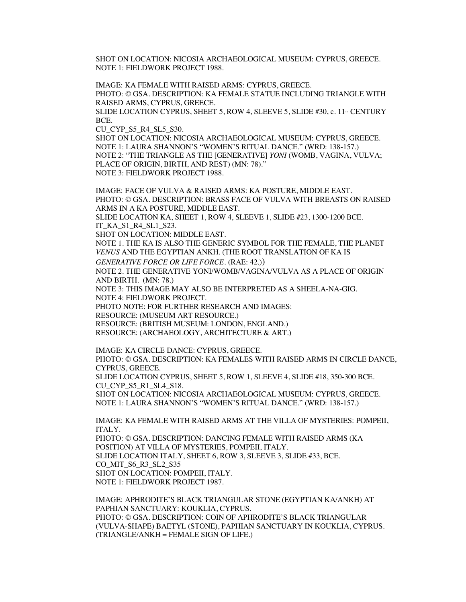SHOT ON LOCATION: NICOSIA ARCHAEOLOGICAL MUSEUM: CYPRUS, GREECE. NOTE 1: FIELDWORK PROJECT 1988.

IMAGE: KA FEMALE WITH RAISED ARMS: CYPRUS, GREECE. PHOTO: © GSA. DESCRIPTION: KA FEMALE STATUE INCLUDING TRIANGLE WITH RAISED ARMS, CYPRUS, GREECE. SLIDE LOCATION CYPRUS, SHEET 5, ROW 4, SLEEVE 5, SLIDE #30, c.  $11<sup>m</sup>$  CENTURY BCE.

CU\_CYP\_S5\_R4\_SL5\_S30.

SHOT ON LOCATION: NICOSIA ARCHAEOLOGICAL MUSEUM: CYPRUS, GREECE. NOTE 1: LAURA SHANNON'S "WOMEN'S RITUAL DANCE." (WRD: 138-157.) NOTE 2: "THE TRIANGLE AS THE [GENERATIVE] *YONI* (WOMB, VAGINA, VULVA; PLACE OF ORIGIN, BIRTH, AND REST) (MN: 78)." NOTE 3: FIELDWORK PROJECT 1988.

IMAGE: FACE OF VULVA & RAISED ARMS: KA POSTURE, MIDDLE EAST. PHOTO: © GSA. DESCRIPTION: BRASS FACE OF VULVA WITH BREASTS ON RAISED ARMS IN A KA POSTURE, MIDDLE EAST. SLIDE LOCATION KA, SHEET 1, ROW 4, SLEEVE 1, SLIDE #23, 1300-1200 BCE. IT\_KA\_S1\_R4\_SL1\_S23.

SHOT ON LOCATION: MIDDLE EAST.

NOTE 1. THE KA IS ALSO THE GENERIC SYMBOL FOR THE FEMALE, THE PLANET *VENUS* AND THE EGYPTIAN ANKH. (THE ROOT TRANSLATION OF KA IS

*GENERATIVE FORCE OR LIFE FORCE*. (RAE: 42.))

NOTE 2. THE GENERATIVE YONI/WOMB/VAGINA/VULVA AS A PLACE OF ORIGIN AND BIRTH. (MN: 78.)

NOTE 3: THIS IMAGE MAY ALSO BE INTERPRETED AS A SHEELA-NA-GIG. NOTE 4: FIELDWORK PROJECT.

PHOTO NOTE: FOR FURTHER RESEARCH AND IMAGES:

RESOURCE: (MUSEUM ART RESOURCE.)

RESOURCE: (BRITISH MUSEUM: LONDON, ENGLAND.)

RESOURCE: (ARCHAEOLOGY, ARCHITECTURE & ART.)

IMAGE: KA CIRCLE DANCE: CYPRUS, GREECE. PHOTO: © GSA. DESCRIPTION: KA FEMALES WITH RAISED ARMS IN CIRCLE DANCE, CYPRUS, GREECE. SLIDE LOCATION CYPRUS, SHEET 5, ROW 1, SLEEVE 4, SLIDE #18, 350-300 BCE. CU CYP S5\_R1\_SL4\_S18. SHOT ON LOCATION: NICOSIA ARCHAEOLOGICAL MUSEUM: CYPRUS, GREECE. NOTE 1: LAURA SHANNON'S "WOMEN'S RITUAL DANCE." (WRD: 138-157.)

IMAGE: KA FEMALE WITH RAISED ARMS AT THE VILLA OF MYSTERIES: POMPEII, ITALY.

PHOTO: © GSA. DESCRIPTION: DANCING FEMALE WITH RAISED ARMS (KA POSITION) AT VILLA OF MYSTERIES, POMPEII, ITALY. SLIDE LOCATION ITALY, SHEET 6, ROW 3, SLEEVE 3, SLIDE #33, BCE. CO\_MIT\_S6\_R3\_SL2\_S35 SHOT ON LOCATION: POMPEII, ITALY. NOTE 1: FIELDWORK PROJECT 1987.

IMAGE: APHRODITE'S BLACK TRIANGULAR STONE (EGYPTIAN KA/ANKH) AT PAPHIAN SANCTUARY: KOUKLIA, CYPRUS. PHOTO: © GSA. DESCRIPTION: COIN OF APHRODITE'S BLACK TRIANGULAR (VULVA-SHAPE) BAETYL **(**STONE), PAPHIAN SANCTUARY IN KOUKLIA, CYPRUS. (TRIANGLE/ANKH = FEMALE SIGN OF LIFE.)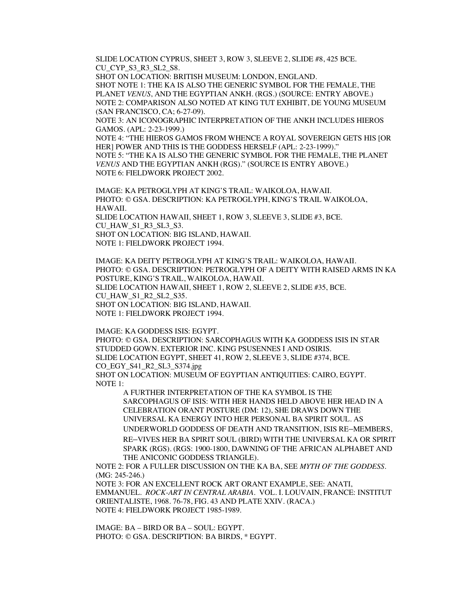SLIDE LOCATION CYPRUS, SHEET 3, ROW 3, SLEEVE 2, SLIDE #8, 425 BCE. CU CYP S3 R3 SL2 S8.

SHOT ON LOCATION: BRITISH MUSEUM: LONDON, ENGLAND.

SHOT NOTE 1: THE KA IS ALSO THE GENERIC SYMBOL FOR THE FEMALE, THE PLANET *VENUS*, AND THE EGYPTIAN ANKH. (RGS.) (SOURCE: ENTRY ABOVE.) NOTE 2: COMPARISON ALSO NOTED AT KING TUT EXHIBIT, DE YOUNG MUSEUM (SAN FRANCISCO, CA; 6-27-09).

NOTE 3: AN ICONOGRAPHIC INTERPRETATION OF THE ANKH INCLUDES HIEROS GAMOS. (APL: 2-23-1999.)

NOTE 4: "THE HIEROS GAMOS FROM WHENCE A ROYAL SOVEREIGN GETS HIS [OR HER] POWER AND THIS IS THE GODDESS HERSELF (APL: 2-23-1999)." NOTE 5: "THE KA IS ALSO THE GENERIC SYMBOL FOR THE FEMALE, THE PLANET *VENUS* AND THE EGYPTIAN ANKH (RGS)." (SOURCE IS ENTRY ABOVE.) NOTE 6: FIELDWORK PROJECT 2002.

IMAGE: KA PETROGLYPH AT KING'S TRAIL: WAIKOLOA, HAWAII. PHOTO: © GSA. DESCRIPTION: KA PETROGLYPH, KING'S TRAIL WAIKOLOA, HAWAII. SLIDE LOCATION HAWAII, SHEET 1, ROW 3, SLEEVE 3, SLIDE #3, BCE. CU\_HAW\_S1\_R3\_SL3\_S3. SHOT ON LOCATION: BIG ISLAND, HAWAII. NOTE 1: FIELDWORK PROJECT 1994.

IMAGE: KA DEITY PETROGLYPH AT KING'S TRAIL: WAIKOLOA, HAWAII. PHOTO: © GSA. DESCRIPTION: PETROGLYPH OF A DEITY WITH RAISED ARMS IN KA POSTURE, KING'S TRAIL, WAIKOLOA, HAWAII. SLIDE LOCATION HAWAII, SHEET 1, ROW 2, SLEEVE 2, SLIDE #35, BCE. CU\_HAW\_S1\_R2\_SL2\_S35. SHOT ON LOCATION: BIG ISLAND, HAWAII. NOTE 1: FIELDWORK PROJECT 1994.

IMAGE: KA GODDESS ISIS: EGYPT. PHOTO: © GSA. DESCRIPTION: SARCOPHAGUS WITH KA GODDESS ISIS IN STAR STUDDED GOWN. EXTERIOR INC. KING PSUSENNES I AND OSIRIS. SLIDE LOCATION EGYPT, SHEET 41, ROW 2, SLEEVE 3, SLIDE #374, BCE. CO\_EGY\_S41\_R2\_SL3\_S374.jpg SHOT ON LOCATION: MUSEUM OF EGYPTIAN ANTIQUITIES: CAIRO, EGYPT. NOTE 1:

A FURTHER INTERPRETATION OF THE KA SYMBOL IS THE SARCOPHAGUS OF ISIS: WITH HER HANDS HELD ABOVE HER HEAD IN A CELEBRATION ORANT POSTURE (DM: 12), SHE DRAWS DOWN THE UNIVERSAL KA ENERGY INTO HER PERSONAL BA SPIRIT SOUL. AS UNDERWORLD GODDESS OF DEATH AND TRANSITION, ISIS RE–MEMBERS, RE–VIVES HER BA SPIRIT SOUL (BIRD) WITH THE UNIVERSAL KA OR SPIRIT SPARK (RGS). (RGS: 1900-1800, DAWNING OF THE AFRICAN ALPHABET AND THE ANICONIC GODDESS TRIANGLE).

NOTE 2: FOR A FULLER DISCUSSION ON THE KA BA, SEE *MYTH OF THE GODDESS*. (MG: 245-246.)

NOTE 3: FOR AN EXCELLENT ROCK ART ORANT EXAMPLE, SEE: ANATI, EMMANUEL. *ROCK-ART IN CENTRAL ARABIA*. VOL. I. LOUVAIN, FRANCE: INSTITUT ORIENTALISTE, 1968. 76-78, FIG. 43 AND PLATE XXIV. (RACA.) NOTE 4: FIELDWORK PROJECT 1985-1989.

IMAGE: BA – BIRD OR BA – SOUL: EGYPT. PHOTO: © GSA. DESCRIPTION: BA BIRDS, \* EGYPT.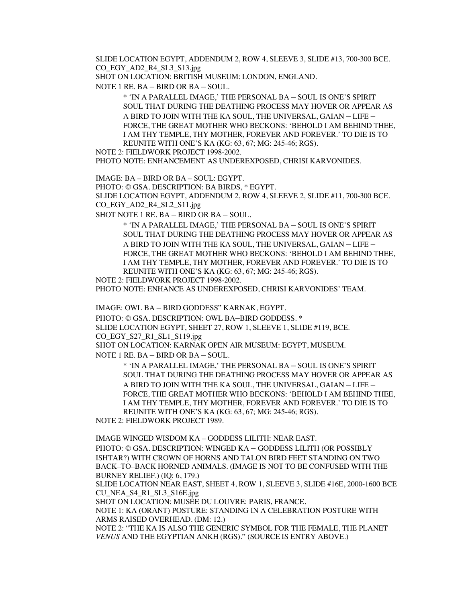SLIDE LOCATION EGYPT, ADDENDUM 2, ROW 4, SLEEVE 3, SLIDE #13, 700-300 BCE. CO\_EGY\_AD2\_R4\_SL3\_S13.jpg

SHOT ON LOCATION: BRITISH MUSEUM: LONDON, ENGLAND.

NOTE 1 RE. BA – BIRD OR BA – SOUL.

\* 'IN A PARALLEL IMAGE,' THE PERSONAL BA – SOUL IS ONE'S SPIRIT SOUL THAT DURING THE DEATHING PROCESS MAY HOVER OR APPEAR AS A BIRD TO JOIN WITH THE KA SOUL, THE UNIVERSAL, GAIAN – LIFE – FORCE, THE GREAT MOTHER WHO BECKONS: 'BEHOLD I AM BEHIND THEE, I AM THY TEMPLE, THY MOTHER, FOREVER AND FOREVER.' TO DIE IS TO REUNITE WITH ONE'S KA (KG: 63, 67; MG: 245-46; RGS).

NOTE 2: FIELDWORK PROJECT 1998-2002.

PHOTO NOTE: ENHANCEMENT AS UNDEREXPOSED, CHRISI KARVONIDES.

IMAGE: BA – BIRD OR BA – SOUL: EGYPT.

PHOTO: © GSA. DESCRIPTION: BA BIRDS, \* EGYPT.

SLIDE LOCATION EGYPT, ADDENDUM 2, ROW 4, SLEEVE 2, SLIDE #11, 700-300 BCE. CO\_EGY\_AD2\_R4\_SL2\_S11.jpg

SHOT NOTE 1 RE. BA – BIRD OR BA – SOUL.

\* 'IN A PARALLEL IMAGE,' THE PERSONAL BA – SOUL IS ONE'S SPIRIT SOUL THAT DURING THE DEATHING PROCESS MAY HOVER OR APPEAR AS A BIRD TO JOIN WITH THE KA SOUL, THE UNIVERSAL, GAIAN – LIFE – FORCE, THE GREAT MOTHER WHO BECKONS: 'BEHOLD I AM BEHIND THEE, I AM THY TEMPLE, THY MOTHER, FOREVER AND FOREVER.' TO DIE IS TO REUNITE WITH ONE'S KA (KG: 63, 67; MG: 245-46; RGS).

NOTE 2: FIELDWORK PROJECT 1998-2002.

PHOTO NOTE: ENHANCE AS UNDEREXPOSED, CHRISI KARVONIDES' TEAM.

IMAGE: OWL BA – BIRD GODDESS" KARNAK, EGYPT.

PHOTO: © GSA. DESCRIPTION: OWL BA–BIRD GODDESS. \*

SLIDE LOCATION EGYPT, SHEET 27, ROW 1, SLEEVE 1, SLIDE #119, BCE. CO\_EGY\_S27\_R1\_SL1\_S119.jpg

SHOT ON LOCATION: KARNAK OPEN AIR MUSEUM: EGYPT, MUSEUM. NOTE 1 RE. BA – BIRD OR BA – SOUL.

> \* 'IN A PARALLEL IMAGE,' THE PERSONAL BA – SOUL IS ONE'S SPIRIT SOUL THAT DURING THE DEATHING PROCESS MAY HOVER OR APPEAR AS A BIRD TO JOIN WITH THE KA SOUL, THE UNIVERSAL, GAIAN – LIFE – FORCE, THE GREAT MOTHER WHO BECKONS: 'BEHOLD I AM BEHIND THEE, I AM THY TEMPLE, THY MOTHER, FOREVER AND FOREVER.' TO DIE IS TO REUNITE WITH ONE'S KA (KG: 63, 67; MG: 245-46; RGS).

NOTE 2: FIELDWORK PROJECT 1989.

IMAGE WINGED WISDOM KA – GODDESS LILITH: NEAR EAST. PHOTO: © GSA. DESCRIPTION: WINGED KA – GODDESS LILITH (OR POSSIBLY ISHTAR?) WITH CROWN OF HORNS AND TALON BIRD FEET STANDING ON TWO BACK–TO–BACK HORNED ANIMALS. (IMAGE IS NOT TO BE CONFUSED WITH THE BURNEY RELIEF.) (IQ: 6, 179.) SLIDE LOCATION NEAR EAST, SHEET 4, ROW 1, SLEEVE 3, SLIDE #16E, 2000-1600 BCE CU\_NEA\_S4\_R1\_SL3\_S16E.jpg SHOT ON LOCATION: MUSÉE DU LOUVRE: PARIS, FRANCE. NOTE 1: KA (ORANT) POSTURE: STANDING IN A CELEBRATION POSTURE WITH ARMS RAISED OVERHEAD. (DM: 12.) NOTE 2: "THE KA IS ALSO THE GENERIC SYMBOL FOR THE FEMALE, THE PLANET

*VENUS* AND THE EGYPTIAN ANKH (RGS)." (SOURCE IS ENTRY ABOVE.)